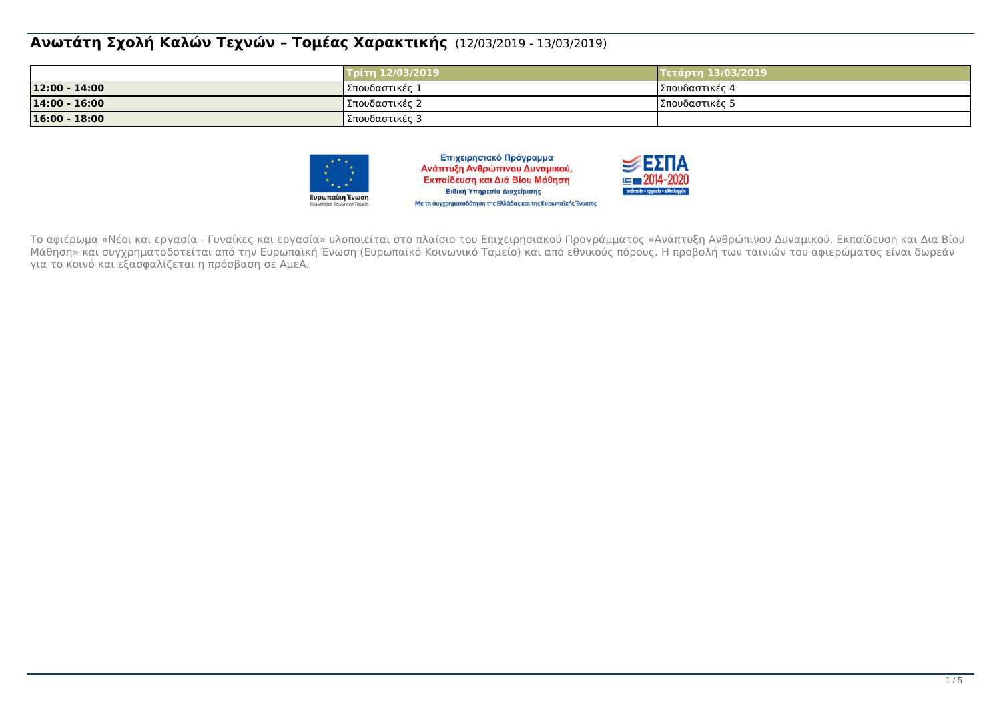#### **Ανωτάτη Σχολή Καλών Τεχνών – Τομέας Χαρακτικής** (12/03/2019 - 13/03/2019)

|                 | Τρίτη 12/03/2019 | Τετάρτη 13/03/2019 |
|-----------------|------------------|--------------------|
| 12:00 - 14:00   | ΙΣπουδαστικές 1  | Σπουδαστικές 4     |
| 14:00 - 16:00   | Σπουδαστικές 2   | ΙΣπουδαστικές 5    |
| $16:00 - 18:00$ | Σπουδαστικές 3   |                    |



Επιχειρησιακό Πρόγραμμα Ανάπτυξη Ανθρώπινου Δυναμικού, Εκπαίδευση και Διά Βίου Μάθηση Ειδική Υπηρεσία Διαχείρισης Με τη συγχρηματοδότηση της Ελλάδας και της Ευρωπαϊκής Ένωσης



Το αφιέρωμα «Νέοι και εργασία - Γυναίκες και εργασία» υλοποιείται στο πλαίσιο του Επιχειρησιακού Προγράμματος «Ανάπτυξη Ανθρώπινου Δυναμικού, Εκπαίδευση και Δια Βίου Μάθηση» και συγχρηματοδοτείται από την Ευρωπαϊκή Ένωση (Ευρωπαϊκό Κοινωνικό Ταμείο) και από εθνικούς πόρους. Η προβολή των ταινιών του αφιερώματος είναι δωρεάν για το κοινό και εξασφαλίζεται η πρόσβαση σε ΑμεΑ.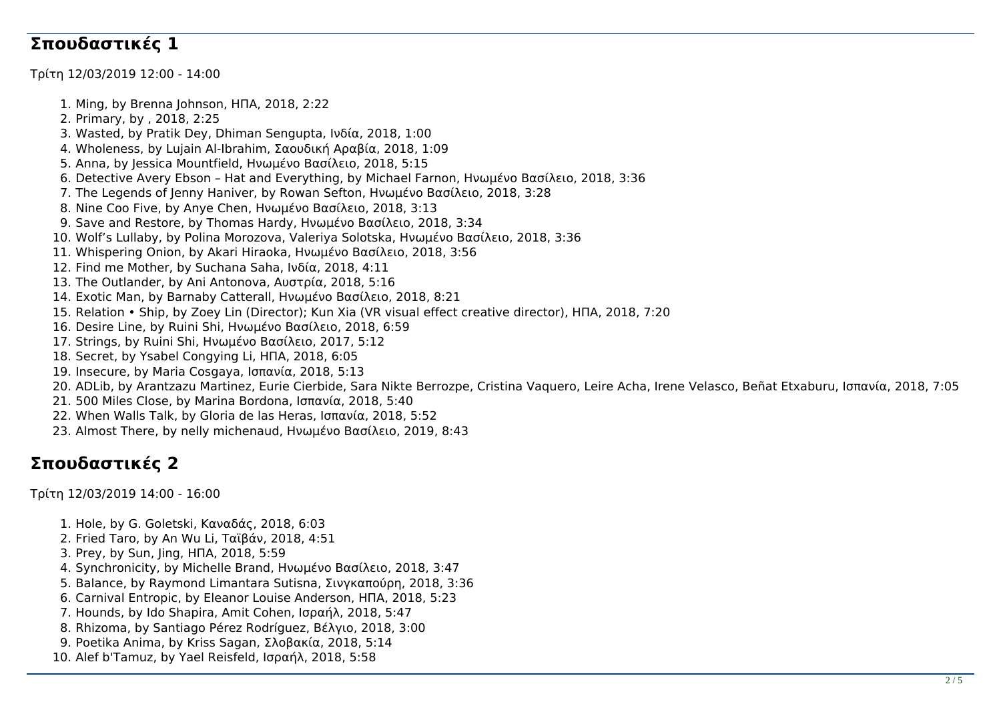#### **Σπουδαστικές 1**

Τρίτη 12/03/2019 12:00 - 14:00

1. Ming, by Brenna Johnson, ΗΠΑ, 2018, 2:22 2. Primary, by , 2018, 2:25 3. Wasted, by Pratik Dey, Dhiman Sengupta, Ινδία, 2018, 1:00 4. Wholeness, by Lujain Al-Ibrahim, Σαουδική Αραβία, 2018, 1:09 5. Anna, by Jessica Mountfield, Ηνωμένο Βασίλειο, 2018, 5:15 6. Detective Avery Ebson – Hat and Everything, by Michael Farnon, Ηνωμένο Βασίλειο, 2018, 3:36 7. The Legends of Jenny Haniver, by Rowan Sefton, Ηνωμένο Βασίλειο, 2018, 3:28 8. Nine Coo Five, by Anye Chen, Ηνωμένο Βασίλειο, 2018, 3:13 9. Save and Restore, by Thomas Hardy, Ηνωμένο Βασίλειο, 2018, 3:34 10. Wolf's Lullaby, by Polina Morozova, Valeriya Solotska, Ηνωμένο Βασίλειο, 2018, 3:36 11. Whispering Onion, by Akari Hiraoka, Ηνωμένο Βασίλειο, 2018, 3:56 12. Find me Mother, by Suchana Saha, Ινδία, 2018, 4:11 13. The Outlander, by Ani Antonova, Αυστρία, 2018, 5:16 14. Exotic Man, by Barnaby Catterall, Ηνωμένο Βασίλειο, 2018, 8:21 15. Relation • Ship, by Zoey Lin (Director); Kun Xia (VR visual effect creative director), ΗΠΑ, 2018, 7:20 16. Desire Line, by Ruini Shi, Ηνωμένο Βασίλειο, 2018, 6:59 17. Strings, by Ruini Shi, Ηνωμένο Βασίλειο, 2017, 5:12 18. Secret, by Ysabel Congying Li, ΗΠΑ, 2018, 6:05 19. Insecure, by Maria Cosgaya, Ισπανία, 2018, 5:13 20. ADLib, by Arantzazu Martinez, Eurie Cierbide, Sara Nikte Berrozpe, Cristina Vaquero, Leire Acha, Irene Velasco, Beñat Etxaburu, Ισπανία, 2018, 7:05 21. 500 Miles Close, by Marina Bordona, Ισπανία, 2018, 5:40

22. When Walls Talk, by Gloria de las Heras, Ισπανία, 2018, 5:52

23. Almost There, by nelly michenaud, Ηνωμένο Βασίλειο, 2019, 8:43

### **Σπουδαστικές 2**

Τρίτη 12/03/2019 14:00 - 16:00

- 1. Hole, by G. Goletski, Καναδάς, 2018, 6:03
- 2. Fried Taro, by An Wu Li, Ταϊβάν, 2018, 4:51
- 3. Prey, by Sun, Jing, ΗΠΑ, 2018, 5:59
- 4. Synchronicity, by Michelle Brand, Ηνωμένο Βασίλειο, 2018, 3:47
- 5. Balance, by Raymond Limantara Sutisna, Σινγκαπούρη, 2018, 3:36
- 6. Carnival Entropic, by Eleanor Louise Anderson, ΗΠΑ, 2018, 5:23
- 7. Hounds, by Ido Shapira, Amit Cohen, Ισραήλ, 2018, 5:47
- 8. Rhizoma, by Santiago Pérez Rodríguez, Βέλγιο, 2018, 3:00
- 9. Poetika Anima, by Kriss Sagan, Σλοβακία, 2018, 5:14
- 10. Alef b'Tamuz, by Yael Reisfeld, Ισραήλ, 2018, 5:58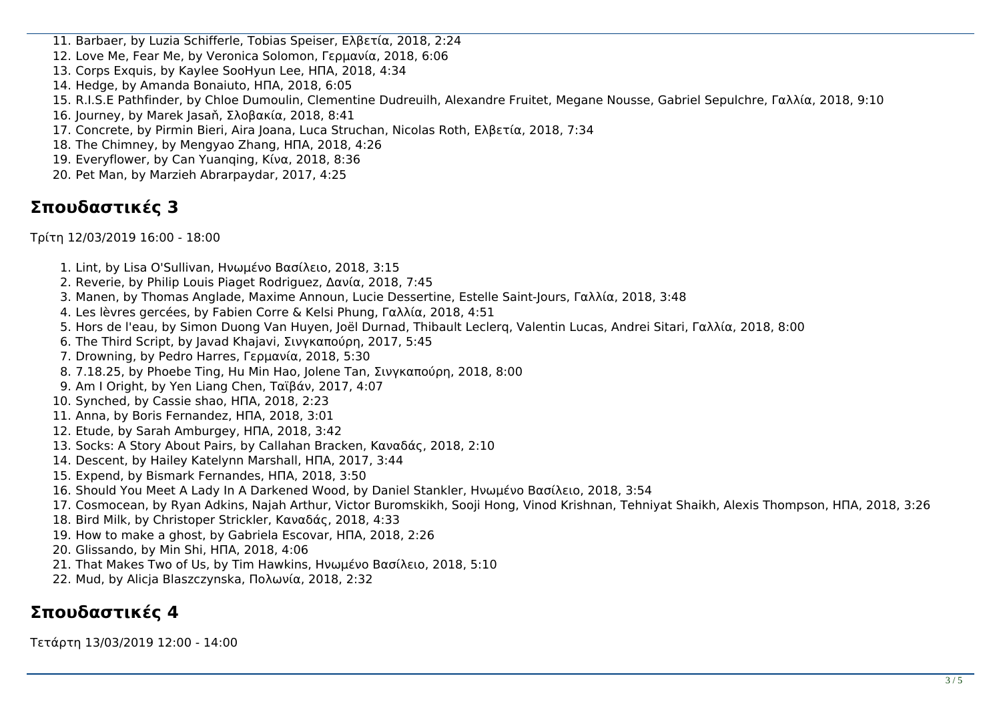11. Barbaer, by Luzia Schifferle, Tobias Speiser, Ελβετία, 2018, 2:24

12. Love Me, Fear Me, by Veronica Solomon, Γερμανία, 2018, 6:06

13. Corps Exquis, by Kaylee SooHyun Lee, ΗΠΑ, 2018, 4:34

14. Hedge, by Amanda Bonaiuto, ΗΠΑ, 2018, 6:05

15. R.I.S.E Pathfinder, by Chloe Dumoulin, Clementine Dudreuilh, Alexandre Fruitet, Megane Nousse, Gabriel Sepulchre, Γαλλία, 2018, 9:10

16. Journey, by Marek Jasaň, Σλοβακία, 2018, 8:41

- 17. Concrete, by Pirmin Bieri, Aira Joana, Luca Struchan, Nicolas Roth, Ελβετία, 2018, 7:34
- 18. The Chimney, by Mengyao Zhang, ΗΠΑ, 2018, 4:26
- 19. Everyflower, by Can Yuanqing, Κίνα, 2018, 8:36
- 20. Pet Man, by Marzieh Abrarpaydar, 2017, 4:25

#### **Σπουδαστικές 3**

Τρίτη 12/03/2019 16:00 - 18:00

- 1. Lint, by Lisa O'Sullivan, Ηνωμένο Βασίλειο, 2018, 3:15
- 2. Reverie, by Philip Louis Piaget Rodriguez, Δανία, 2018, 7:45
- 3. Manen, by Thomas Anglade, Maxime Announ, Lucie Dessertine, Estelle Saint-Jours, Γαλλία, 2018, 3:48
- 4. Les lèvres gercées, by Fabien Corre & Kelsi Phung, Γαλλία, 2018, 4:51
- 5. Hors de l'eau, by Simon Duong Van Huyen, Joël Durnad, Thibault Leclerq, Valentin Lucas, Andrei Sitari, Γαλλία, 2018, 8:00
- 6. The Third Script, by Javad Khajavi, Σινγκαπούρη, 2017, 5:45
- 7. Drowning, by Pedro Harres, Γερμανία, 2018, 5:30
- 8. 7.18.25, by Phoebe Ting, Hu Min Hao, Jolene Tan, Σινγκαπούρη, 2018, 8:00
- 9. Am I Oright, by Yen Liang Chen, Ταϊβάν, 2017, 4:07
- 10. Synched, by Cassie shao, ΗΠΑ, 2018, 2:23
- 11. Anna, by Boris Fernandez, ΗΠΑ, 2018, 3:01
- 12. Etude, by Sarah Amburgey, ΗΠΑ, 2018, 3:42
- 13. Socks: A Story About Pairs, by Callahan Bracken, Καναδάς, 2018, 2:10
- 14. Descent, by Hailey Katelynn Marshall, ΗΠΑ, 2017, 3:44
- 15. Expend, by Bismark Fernandes, ΗΠΑ, 2018, 3:50
- 16. Should You Meet A Lady In A Darkened Wood, by Daniel Stankler, Ηνωμένο Βασίλειο, 2018, 3:54
- 17. Cosmocean, by Ryan Adkins, Najah Arthur, Victor Buromskikh, Sooji Hong, Vinod Krishnan, Tehniyat Shaikh, Alexis Thompson, ΗΠΑ, 2018, 3:26
- 18. Bird Milk, by Christoper Strickler, Καναδάς, 2018, 4:33
- 19. How to make a ghost, by Gabriela Escovar, ΗΠΑ, 2018, 2:26
- 20. Glissando, by Min Shi, ΗΠΑ, 2018, 4:06
- 21. That Makes Two of Us, by Tim Hawkins, Ηνωμένο Βασίλειο, 2018, 5:10
- 22. Mud, by Alicja Blaszczynska, Πολωνία, 2018, 2:32

## **Σπουδαστικές 4**

Τετάρτη 13/03/2019 12:00 - 14:00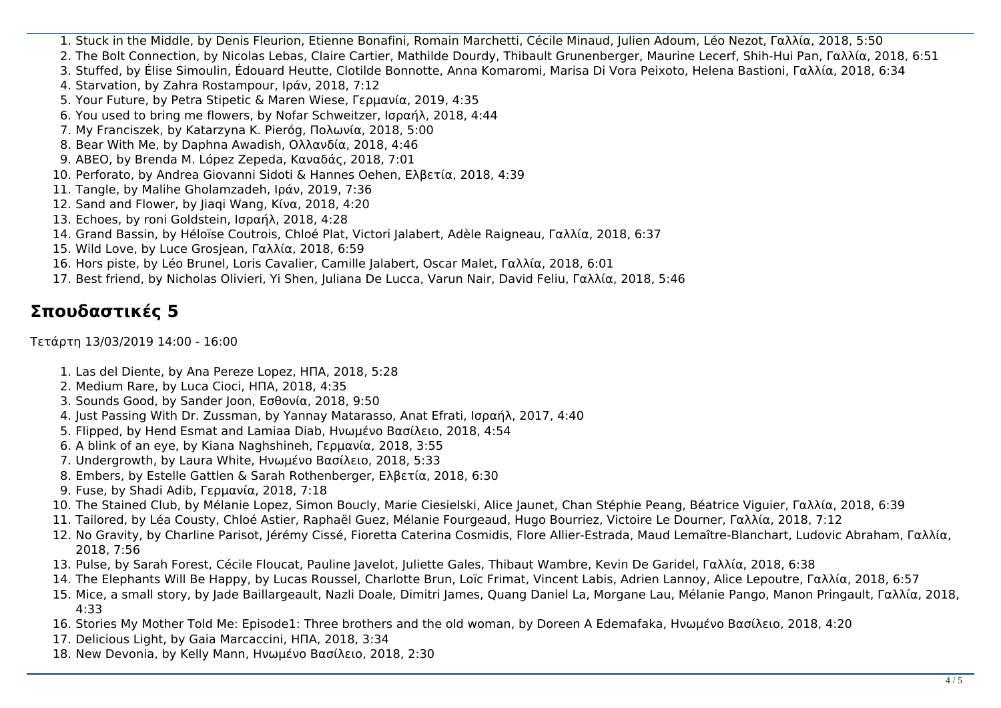- 1. Stuck in the Middle, by Denis Fleurion, Etienne Bonafini, Romain Marchetti, Cécile Minaud, Julien Adoum, Léo Nezot, Γαλλία, 2018, 5:50
- 2. The Bolt Connection, by Nicolas Lebas, Claire Cartier, Mathilde Dourdy, Thibault Grunenberger, Maurine Lecerf, Shih-Hui Pan, Γαλλία, 2018, 6:51
- 3. Stuffed, by Élise Simoulin, Édouard Heutte, Clotilde Bonnotte, Anna Komaromi, Marisa Di Vora Peixoto, Helena Bastioni, Γαλλία, 2018, 6:34
- 4. Starvation, by Zahra Rostampour, Ιράν, 2018, 7:12
- 5. Your Future, by Petra Stipetic & Maren Wiese, Γερμανία, 2019, 4:35
- 6. You used to bring me flowers, by Nofar Schweitzer, Ισραήλ, 2018, 4:44
- 7. My Franciszek, by Katarzyna K. Pieróg, Πολωνία, 2018, 5:00
- 8. Bear With Me, by Daphna Awadish, Ολλανδία, 2018, 4:46
- 9. ABEO, by Brenda M. López Zepeda, Καναδάς, 2018, 7:01
- 10. Perforato, by Andrea Giovanni Sidoti & Hannes Oehen, Ελβετία, 2018, 4:39
- 11. Tangle, by Malihe Gholamzadeh, Ιράν, 2019, 7:36
- 12. Sand and Flower, by Jiaqi Wang, Κίνα, 2018, 4:20
- 13. Echoes, by roni Goldstein, Ισραήλ, 2018, 4:28
- 14. Grand Bassin, by Héloïse Coutrois, Chloé Plat, Victori Jalabert, Adèle Raigneau, Γαλλία, 2018, 6:37
- 15. Wild Love, by Luce Grosjean, Γαλλία, 2018, 6:59
- 16. Hors piste, by Léo Brunel, Loris Cavalier, Camille Jalabert, Oscar Malet, Γαλλία, 2018, 6:01
- 17. Best friend, by Nicholas Olivieri, Yi Shen, Juliana De Lucca, Varun Nair, David Feliu, Γαλλία, 2018, 5:46

# **Σπουδαστικές 5**

Τετάρτη 13/03/2019 14:00 - 16:00

- 1. Las del Diente, by Ana Pereze Lopez, ΗΠΑ, 2018, 5:28
- 2. Medium Rare, by Luca Cioci, ΗΠΑ, 2018, 4:35
- 3. Sounds Good, by Sander Joon, Εσθονία, 2018, 9:50
- 4. Just Passing With Dr. Zussman, by Yannay Matarasso, Anat Efrati, Ισραήλ, 2017, 4:40
- 5. Flipped, by Hend Esmat and Lamiaa Diab, Ηνωμένο Βασίλειο, 2018, 4:54
- 6. A blink of an eye, by Kiana Naghshineh, Γερμανία, 2018, 3:55
- 7. Undergrowth, by Laura White, Ηνωμένο Βασίλειο, 2018, 5:33
- 8. Embers, by Estelle Gattlen & Sarah Rothenberger, Ελβετία, 2018, 6:30
- 9. Fuse, by Shadi Adib, Γερμανία, 2018, 7:18
- 10. The Stained Club, by Mélanie Lopez, Simon Boucly, Marie Ciesielski, Alice Jaunet, Chan Stéphie Peang, Béatrice Viguier, Γαλλία, 2018, 6:39
- 11. Tailored, by Léa Cousty, Chloé Astier, Raphaël Guez, Mélanie Fourgeaud, Hugo Bourriez, Victoire Le Dourner, Γαλλία, 2018, 7:12
- 12. No Gravity, by Charline Parisot, Jérémy Cissé, Fioretta Caterina Cosmidis, Flore Allier-Estrada, Maud Lemaître-Blanchart, Ludovic Abraham, Γαλλία, 2018, 7:56
- 13. Pulse, by Sarah Forest, Cécile Floucat, Pauline Javelot, Juliette Gales, Thibaut Wambre, Kevin De Garidel, Γαλλία, 2018, 6:38
- 14. The Elephants Will Be Happy, by Lucas Roussel, Charlotte Brun, Loïc Frimat, Vincent Labis, Adrien Lannoy, Alice Lepoutre, Γαλλία, 2018, 6:57
- 15. Mice, a small story, by Jade Baillargeault, Nazli Doale, Dimitri James, Quang Daniel La, Morgane Lau, Mélanie Pango, Manon Pringault, Γαλλία, 2018, 4:33
- 16. Stories My Mother Told Me: Episode1: Three brothers and the old woman, by Doreen A Edemafaka, Ηνωμένο Βασίλειο, 2018, 4:20
- 17. Delicious Light, by Gaia Marcaccini, ΗΠΑ, 2018, 3:34
- 18. New Devonia, by Kelly Mann, Ηνωμένο Βασίλειο, 2018, 2:30